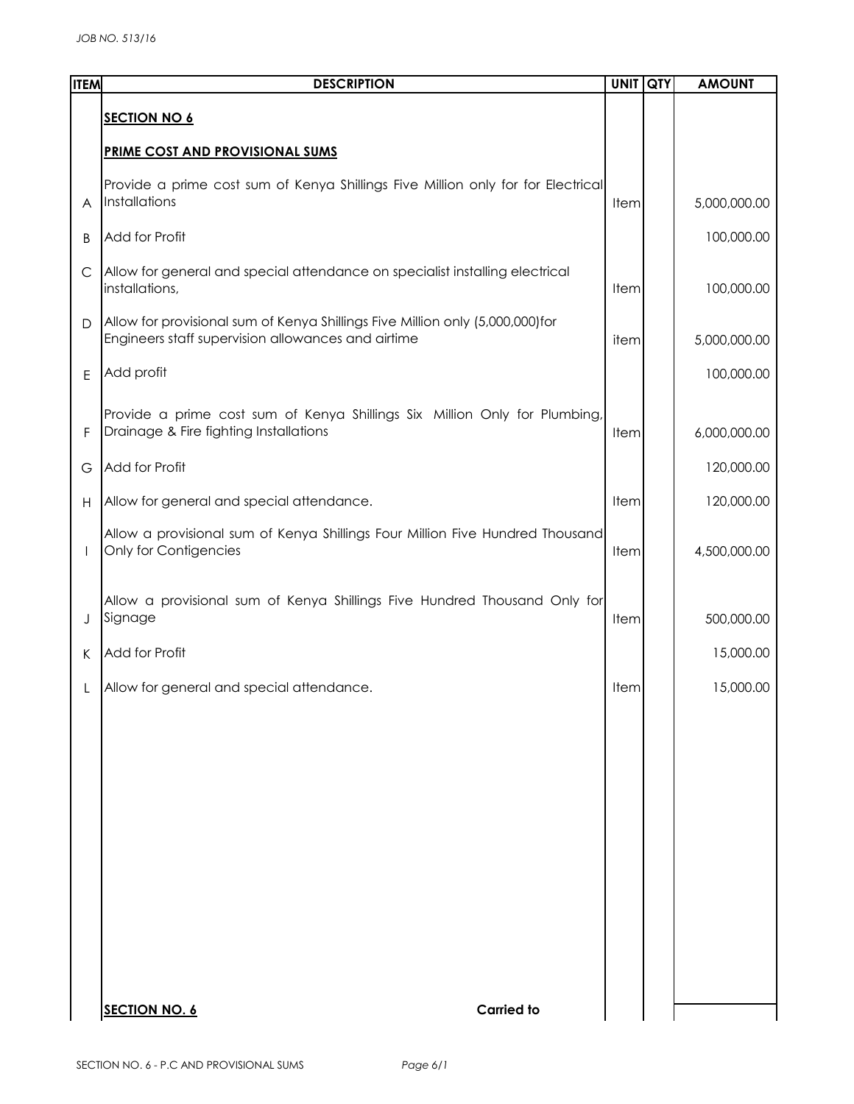| <b>ITEM</b>  | <b>DESCRIPTION</b>                                                                                                                  | <b>UNIT QTY</b> | <b>AMOUNT</b> |
|--------------|-------------------------------------------------------------------------------------------------------------------------------------|-----------------|---------------|
|              | <b>SECTION NO 6</b>                                                                                                                 |                 |               |
|              | <b>PRIME COST AND PROVISIONAL SUMS</b>                                                                                              |                 |               |
| A            | Provide a prime cost sum of Kenya Shillings Five Million only for for Electrical<br>Installations                                   | Item            | 5,000,000.00  |
| B            | Add for Profit                                                                                                                      |                 | 100,000.00    |
| $\mathsf{C}$ | Allow for general and special attendance on specialist installing electrical<br>installations,                                      | Item            | 100,000.00    |
| D            | Allow for provisional sum of Kenya Shillings Five Million only (5,000,000)for<br>Engineers staff supervision allowances and airtime | item            | 5,000,000.00  |
| E            | Add profit                                                                                                                          |                 | 100,000.00    |
| F            | Provide a prime cost sum of Kenya Shillings Six Million Only for Plumbing,<br>Drainage & Fire fighting Installations                | Item            | 6,000,000.00  |
| G            | Add for Profit                                                                                                                      |                 | 120,000.00    |
| H            | Allow for general and special attendance.                                                                                           | Item            | 120,000.00    |
| $\mathbf{I}$ | Allow a provisional sum of Kenya Shillings Four Million Five Hundred Thousand<br>Only for Contigencies                              | Item            | 4,500,000.00  |
| J            | Allow a provisional sum of Kenya Shillings Five Hundred Thousand Only for<br>Signage                                                | Item            | 500,000.00    |
| K            | Add for Profit                                                                                                                      |                 | 15,000.00     |
|              | Allow for general and special attendance.                                                                                           | Item            | 15,000.00     |
|              |                                                                                                                                     |                 |               |
|              |                                                                                                                                     |                 |               |
|              |                                                                                                                                     |                 |               |
|              |                                                                                                                                     |                 |               |
|              |                                                                                                                                     |                 |               |
|              |                                                                                                                                     |                 |               |
|              |                                                                                                                                     |                 |               |
|              |                                                                                                                                     |                 |               |
|              | <b>Carried to</b><br><b>SECTION NO. 6</b>                                                                                           |                 |               |